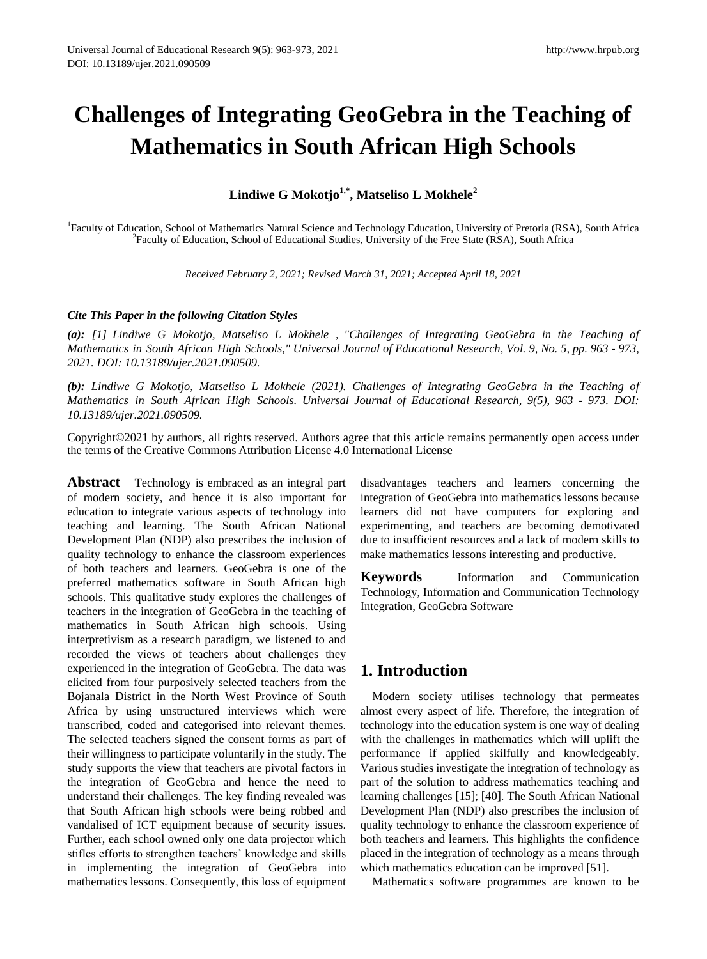# **Challenges of Integrating GeoGebra in the Teaching of Mathematics in South African High Schools**

**Lindiwe G Mokotjo1,\*, Matseliso L Mokhele<sup>2</sup>**

<sup>1</sup>Faculty of Education, School of Mathematics Natural Science and Technology Education, University of Pretoria (RSA), South Africa <sup>2</sup> Faculty of Education, School of Educational Studies, University of the Free State (RSA), South Africa

*Received February 2, 2021; Revised March 31, 2021; Accepted April 18, 2021*

# *Cite This Paper in the following Citation Styles*

*(a): [1] Lindiwe G Mokotjo, Matseliso L Mokhele , "Challenges of Integrating GeoGebra in the Teaching of Mathematics in South African High Schools," Universal Journal of Educational Research, Vol. 9, No. 5, pp. 963 - 973, 2021. DOI: 10.13189/ujer.2021.090509.*

*(b): Lindiwe G Mokotjo, Matseliso L Mokhele (2021). Challenges of Integrating GeoGebra in the Teaching of Mathematics in South African High Schools. Universal Journal of Educational Research, 9(5), 963 - 973. DOI: 10.13189/ujer.2021.090509.*

Copyright©2021 by authors, all rights reserved. Authors agree that this article remains permanently open access under the terms of the Creative Commons Attribution License 4.0 International License

**Abstract** Technology is embraced as an integral part of modern society, and hence it is also important for education to integrate various aspects of technology into teaching and learning. The South African National Development Plan (NDP) also prescribes the inclusion of quality technology to enhance the classroom experiences of both teachers and learners. GeoGebra is one of the preferred mathematics software in South African high schools. This qualitative study explores the challenges of teachers in the integration of GeoGebra in the teaching of mathematics in South African high schools. Using interpretivism as a research paradigm, we listened to and recorded the views of teachers about challenges they experienced in the integration of GeoGebra. The data was elicited from four purposively selected teachers from the Bojanala District in the North West Province of South Africa by using unstructured interviews which were transcribed, coded and categorised into relevant themes. The selected teachers signed the consent forms as part of their willingness to participate voluntarily in the study. The study supports the view that teachers are pivotal factors in the integration of GeoGebra and hence the need to understand their challenges. The key finding revealed was that South African high schools were being robbed and vandalised of ICT equipment because of security issues. Further, each school owned only one data projector which stifles efforts to strengthen teachers' knowledge and skills in implementing the integration of GeoGebra into mathematics lessons. Consequently, this loss of equipment

disadvantages teachers and learners concerning the integration of GeoGebra into mathematics lessons because learners did not have computers for exploring and experimenting, and teachers are becoming demotivated due to insufficient resources and a lack of modern skills to make mathematics lessons interesting and productive.

**Keywords** Information and Communication Technology, Information and Communication Technology Integration, GeoGebra Software

# **1. Introduction**

Modern society utilises technology that permeates almost every aspect of life. Therefore, the integration of technology into the education system is one way of dealing with the challenges in mathematics which will uplift the performance if applied skilfully and knowledgeably. Various studies investigate the integration of technology as part of the solution to address mathematics teaching and learning challenges [15]; [40]. The South African National Development Plan (NDP) also prescribes the inclusion of quality technology to enhance the classroom experience of both teachers and learners. This highlights the confidence placed in the integration of technology as a means through which mathematics education can be improved [51].

Mathematics software programmes are known to be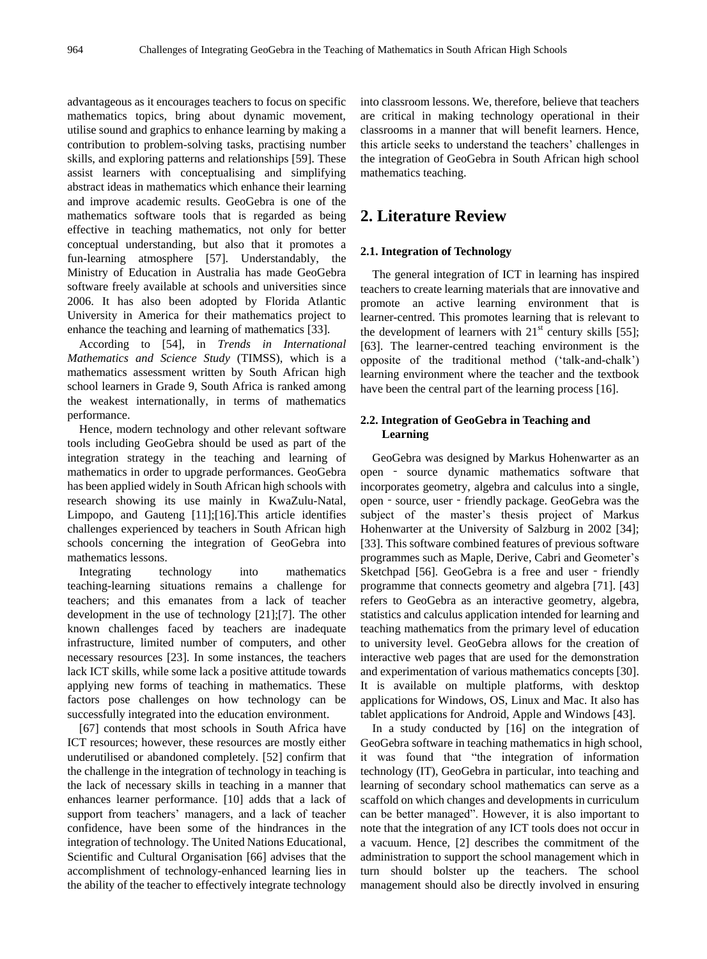advantageous as it encourages teachers to focus on specific mathematics topics, bring about dynamic movement, utilise sound and graphics to enhance learning by making a contribution to problem-solving tasks, practising number skills, and exploring patterns and relationships [59]. These assist learners with conceptualising and simplifying abstract ideas in mathematics which enhance their learning and improve academic results. GeoGebra is one of the mathematics software tools that is regarded as being effective in teaching mathematics, not only for better conceptual understanding, but also that it promotes a fun-learning atmosphere [57]. Understandably, the Ministry of Education in Australia has made GeoGebra software freely available at schools and universities since 2006. It has also been adopted by Florida Atlantic University in America for their mathematics project to enhance the teaching and learning of mathematics [33].

According to [54], in *Trends in International Mathematics and Science Study* (TIMSS), which is a mathematics assessment written by South African high school learners in Grade 9, South Africa is ranked among the weakest internationally, in terms of mathematics performance.

Hence, modern technology and other relevant software tools including GeoGebra should be used as part of the integration strategy in the teaching and learning of mathematics in order to upgrade performances. GeoGebra has been applied widely in South African high schools with research showing its use mainly in KwaZulu-Natal, Limpopo, and Gauteng [11];[16].This article identifies challenges experienced by teachers in South African high schools concerning the integration of GeoGebra into mathematics lessons.

Integrating technology into mathematics teaching-learning situations remains a challenge for teachers; and this emanates from a lack of teacher development in the use of technology [21];[7]. The other known challenges faced by teachers are inadequate infrastructure, limited number of computers, and other necessary resources [23]. In some instances, the teachers lack ICT skills, while some lack a positive attitude towards applying new forms of teaching in mathematics. These factors pose challenges on how technology can be successfully integrated into the education environment.

[67] contends that most schools in South Africa have ICT resources; however, these resources are mostly either underutilised or abandoned completely. [52] confirm that the challenge in the integration of technology in teaching is the lack of necessary skills in teaching in a manner that enhances learner performance. [10] adds that a lack of support from teachers' managers, and a lack of teacher confidence, have been some of the hindrances in the integration of technology. The United Nations Educational, Scientific and Cultural Organisation [66] advises that the accomplishment of technology-enhanced learning lies in the ability of the teacher to effectively integrate technology

into classroom lessons. We, therefore, believe that teachers are critical in making technology operational in their classrooms in a manner that will benefit learners. Hence, this article seeks to understand the teachers" challenges in the integration of GeoGebra in South African high school mathematics teaching.

# **2. Literature Review**

## **2.1. Integration of Technology**

The general integration of ICT in learning has inspired teachers to create learning materials that are innovative and promote an active learning environment that is learner-centred. This promotes learning that is relevant to the development of learners with  $21<sup>st</sup>$  century skills [55]; [63]. The learner-centred teaching environment is the opposite of the traditional method ("talk-and-chalk") learning environment where the teacher and the textbook have been the central part of the learning process [16].

# **2.2. Integration of GeoGebra in Teaching and Learning**

GeoGebra was designed by Markus Hohenwarter as an open ‐ source dynamic mathematics software that incorporates geometry, algebra and calculus into a single, open - source, user - friendly package. GeoGebra was the subject of the master"s thesis project of Markus Hohenwarter at the University of Salzburg in 2002 [34]; [33]. This software combined features of previous software programmes such as Maple, Derive, Cabri and Geometer's Sketchpad [56]. GeoGebra is a free and user - friendly programme that connects geometry and algebra [71]. [43] refers to GeoGebra as an interactive geometry, algebra, statistics and calculus application intended for learning and teaching mathematics from the primary level of education to university level. GeoGebra allows for the creation of interactive web pages that are used for the demonstration and experimentation of various mathematics concepts [30]. It is available on multiple platforms, with desktop applications for Windows, OS, Linux and Mac. It also has tablet applications for Android, Apple and Windows [43].

In a study conducted by [16] on the integration of GeoGebra software in teaching mathematics in high school, it was found that "the integration of information technology (IT), GeoGebra in particular, into teaching and learning of secondary school mathematics can serve as a scaffold on which changes and developments in curriculum can be better managed". However, it is also important to note that the integration of any ICT tools does not occur in a vacuum. Hence, [2] describes the commitment of the administration to support the school management which in turn should bolster up the teachers. The school management should also be directly involved in ensuring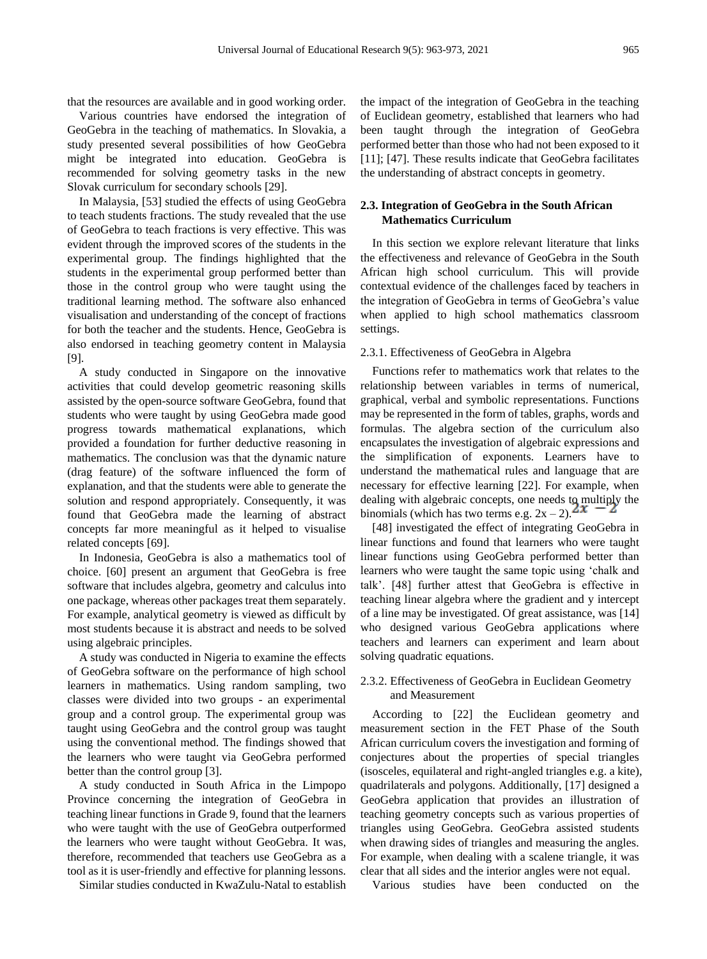that the resources are available and in good working order.

Various countries have endorsed the integration of GeoGebra in the teaching of mathematics. In Slovakia, a study presented several possibilities of how GeoGebra might be integrated into education. GeoGebra is recommended for solving geometry tasks in the new Slovak curriculum for secondary schools [29].

In Malaysia, [53] studied the effects of using GeoGebra to teach students fractions. The study revealed that the use of GeoGebra to teach fractions is very effective. This was evident through the improved scores of the students in the experimental group. The findings highlighted that the students in the experimental group performed better than those in the control group who were taught using the traditional learning method. The software also enhanced visualisation and understanding of the concept of fractions for both the teacher and the students. Hence, GeoGebra is also endorsed in teaching geometry content in Malaysia [9].

A study conducted in Singapore on the innovative activities that could develop geometric reasoning skills assisted by the open-source software GeoGebra, found that students who were taught by using GeoGebra made good progress towards mathematical explanations, which provided a foundation for further deductive reasoning in mathematics. The conclusion was that the dynamic nature (drag feature) of the software influenced the form of explanation, and that the students were able to generate the solution and respond appropriately. Consequently, it was found that GeoGebra made the learning of abstract concepts far more meaningful as it helped to visualise related concepts [69].

In Indonesia, GeoGebra is also a mathematics tool of choice. [60] present an argument that GeoGebra is free software that includes algebra, geometry and calculus into one package, whereas other packages treat them separately. For example, analytical geometry is viewed as difficult by most students because it is abstract and needs to be solved using algebraic principles.

A study was conducted in Nigeria to examine the effects of GeoGebra software on the performance of high school learners in mathematics. Using random sampling, two classes were divided into two groups - an experimental group and a control group. The experimental group was taught using GeoGebra and the control group was taught using the conventional method. The findings showed that the learners who were taught via GeoGebra performed better than the control group [3].

A study conducted in South Africa in the Limpopo Province concerning the integration of GeoGebra in teaching linear functions in Grade 9, found that the learners who were taught with the use of GeoGebra outperformed the learners who were taught without GeoGebra. It was, therefore, recommended that teachers use GeoGebra as a tool as it is user-friendly and effective for planning lessons.

Similar studies conducted in KwaZulu-Natal to establish

the impact of the integration of GeoGebra in the teaching of Euclidean geometry, established that learners who had been taught through the integration of GeoGebra performed better than those who had not been exposed to it [11]; [47]. These results indicate that GeoGebra facilitates the understanding of abstract concepts in geometry.

# **2.3. Integration of GeoGebra in the South African Mathematics Curriculum**

In this section we explore relevant literature that links the effectiveness and relevance of GeoGebra in the South African high school curriculum. This will provide contextual evidence of the challenges faced by teachers in the integration of GeoGebra in terms of GeoGebra"s value when applied to high school mathematics classroom settings.

## 2.3.1. Effectiveness of GeoGebra in Algebra

Functions refer to mathematics work that relates to the relationship between variables in terms of numerical, graphical, verbal and symbolic representations. Functions may be represented in the form of tables, graphs, words and formulas. The algebra section of the curriculum also encapsulates the investigation of algebraic expressions and the simplification of exponents. Learners have to understand the mathematical rules and language that are necessary for effective learning [22]. For example, when dealing with algebraic concepts, one needs to multiply the binomials (which has two terms e.g.  $2x - 2$ ).

[48] investigated the effect of integrating GeoGebra in linear functions and found that learners who were taught linear functions using GeoGebra performed better than learners who were taught the same topic using "chalk and talk". [48] further attest that GeoGebra is effective in teaching linear algebra where the gradient and y intercept of a line may be investigated. Of great assistance, was [14] who designed various GeoGebra applications where teachers and learners can experiment and learn about solving quadratic equations.

# 2.3.2. Effectiveness of GeoGebra in Euclidean Geometry and Measurement

According to [22] the Euclidean geometry and measurement section in the FET Phase of the South African curriculum covers the investigation and forming of conjectures about the properties of special triangles (isosceles, equilateral and right-angled triangles e.g. a kite), quadrilaterals and polygons. Additionally, [17] designed a GeoGebra application that provides an illustration of teaching geometry concepts such as various properties of triangles using GeoGebra. GeoGebra assisted students when drawing sides of triangles and measuring the angles. For example, when dealing with a scalene triangle, it was clear that all sides and the interior angles were not equal.

Various studies have been conducted on the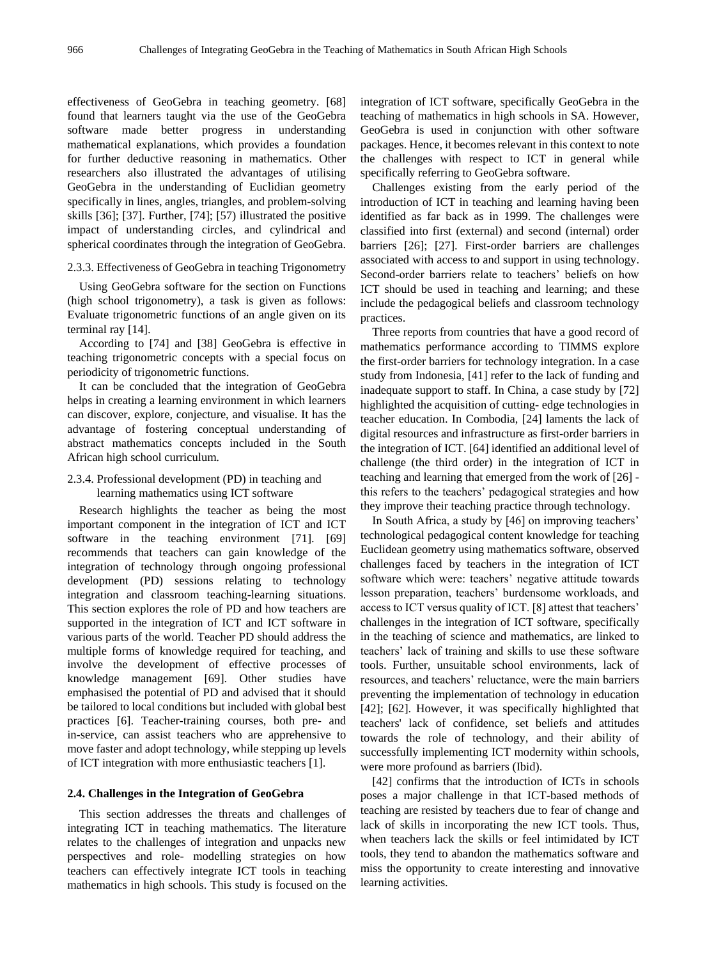effectiveness of GeoGebra in teaching geometry. [68] found that learners taught via the use of the GeoGebra software made better progress in understanding mathematical explanations, which provides a foundation for further deductive reasoning in mathematics. Other researchers also illustrated the advantages of utilising GeoGebra in the understanding of Euclidian geometry specifically in lines, angles, triangles, and problem-solving skills [36]; [37]. Further, [74]; [57) illustrated the positive impact of understanding circles, and cylindrical and spherical coordinates through the integration of GeoGebra.

## 2.3.3. Effectiveness of GeoGebra in teaching Trigonometry

Using GeoGebra software for the section on Functions (high school trigonometry), a task is given as follows: Evaluate trigonometric functions of an angle given on its terminal ray [14].

According to [74] and [38] GeoGebra is effective in teaching trigonometric concepts with a special focus on periodicity of trigonometric functions.

It can be concluded that the integration of GeoGebra helps in creating a learning environment in which learners can discover, explore, conjecture, and visualise. It has the advantage of fostering conceptual understanding of abstract mathematics concepts included in the South African high school curriculum.

# 2.3.4. Professional development (PD) in teaching and learning mathematics using ICT software

Research highlights the teacher as being the most important component in the integration of ICT and ICT software in the teaching environment [71]. [69] recommends that teachers can gain knowledge of the integration of technology through ongoing professional development (PD) sessions relating to technology integration and classroom teaching-learning situations. This section explores the role of PD and how teachers are supported in the integration of ICT and ICT software in various parts of the world. Teacher PD should address the multiple forms of knowledge required for teaching, and involve the development of effective processes of knowledge management [69]. Other studies have emphasised the potential of PD and advised that it should be tailored to local conditions but included with global best practices [6]. Teacher-training courses, both pre- and in-service, can assist teachers who are apprehensive to move faster and adopt technology, while stepping up levels of ICT integration with more enthusiastic teachers [1].

#### **2.4. Challenges in the Integration of GeoGebra**

This section addresses the threats and challenges of integrating ICT in teaching mathematics. The literature relates to the challenges of integration and unpacks new perspectives and role- modelling strategies on how teachers can effectively integrate ICT tools in teaching mathematics in high schools. This study is focused on the

integration of ICT software, specifically GeoGebra in the teaching of mathematics in high schools in SA. However, GeoGebra is used in conjunction with other software packages. Hence, it becomes relevant in this context to note the challenges with respect to ICT in general while specifically referring to GeoGebra software.

Challenges existing from the early period of the introduction of ICT in teaching and learning having been identified as far back as in 1999. The challenges were classified into first (external) and second (internal) order barriers [26]; [27]. First-order barriers are challenges associated with access to and support in using technology. Second-order barriers relate to teachers' beliefs on how ICT should be used in teaching and learning; and these include the pedagogical beliefs and classroom technology practices.

Three reports from countries that have a good record of mathematics performance according to TIMMS explore the first-order barriers for technology integration. In a case study from Indonesia, [41] refer to the lack of funding and inadequate support to staff. In China, a case study by [72] highlighted the acquisition of cutting- edge technologies in teacher education. In Combodia, [24] laments the lack of digital resources and infrastructure as first-order barriers in the integration of ICT. [64] identified an additional level of challenge (the third order) in the integration of ICT in teaching and learning that emerged from the work of [26] this refers to the teachers" pedagogical strategies and how they improve their teaching practice through technology.

In South Africa, a study by [46] on improving teachers' technological pedagogical content knowledge for teaching Euclidean geometry using mathematics software, observed challenges faced by teachers in the integration of ICT software which were: teachers' negative attitude towards lesson preparation, teachers" burdensome workloads, and access to ICT versus quality of ICT. [8] attest that teachers" challenges in the integration of ICT software, specifically in the teaching of science and mathematics, are linked to teachers" lack of training and skills to use these software tools. Further, unsuitable school environments, lack of resources, and teachers' reluctance, were the main barriers preventing the implementation of technology in education [42]; [62]. However, it was specifically highlighted that teachers' lack of confidence, set beliefs and attitudes towards the role of technology, and their ability of successfully implementing ICT modernity within schools, were more profound as barriers (Ibid).

[42] confirms that the introduction of ICTs in schools poses a major challenge in that ICT-based methods of teaching are resisted by teachers due to fear of change and lack of skills in incorporating the new ICT tools. Thus, when teachers lack the skills or feel intimidated by ICT tools, they tend to abandon the mathematics software and miss the opportunity to create interesting and innovative learning activities.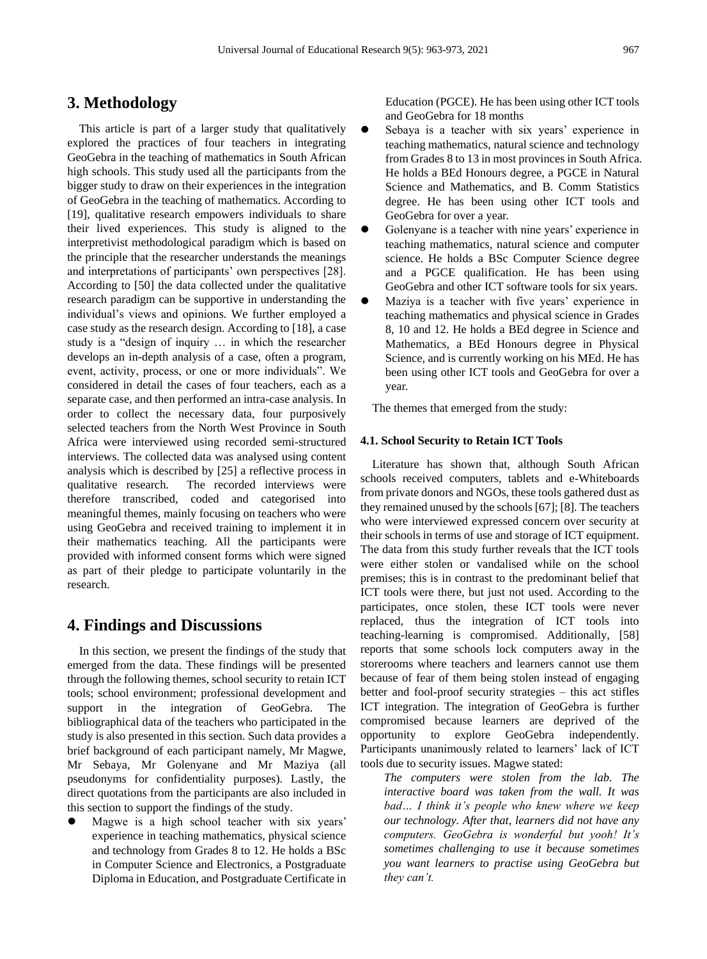# **3. Methodology**

This article is part of a larger study that qualitatively explored the practices of four teachers in integrating GeoGebra in the teaching of mathematics in South African high schools. This study used all the participants from the bigger study to draw on their experiences in the integration of GeoGebra in the teaching of mathematics. According to [19], qualitative research empowers individuals to share their lived experiences. This study is aligned to the interpretivist methodological paradigm which is based on the principle that the researcher understands the meanings and interpretations of participants' own perspectives [28]. According to [50] the data collected under the qualitative research paradigm can be supportive in understanding the individual"s views and opinions. We further employed a case study as the research design. According to [18], a case study is a "design of inquiry … in which the researcher develops an in-depth analysis of a case, often a program, event, activity, process, or one or more individuals". We considered in detail the cases of four teachers, each as a separate case, and then performed an intra-case analysis. In order to collect the necessary data, four purposively selected teachers from the North West Province in South Africa were interviewed using recorded semi-structured interviews. The collected data was analysed using content analysis which is described by [25] a reflective process in qualitative research. The recorded interviews were therefore transcribed, coded and categorised into meaningful themes, mainly focusing on teachers who were using GeoGebra and received training to implement it in their mathematics teaching. All the participants were provided with informed consent forms which were signed as part of their pledge to participate voluntarily in the research.

# **4. Findings and Discussions**

In this section, we present the findings of the study that emerged from the data. These findings will be presented through the following themes, school security to retain ICT tools; school environment; professional development and support in the integration of GeoGebra. The bibliographical data of the teachers who participated in the study is also presented in this section. Such data provides a brief background of each participant namely, Mr Magwe, Mr Sebaya, Mr Golenyane and Mr Maziya (all pseudonyms for confidentiality purposes). Lastly, the direct quotations from the participants are also included in this section to support the findings of the study.

Magwe is a high school teacher with six years' experience in teaching mathematics, physical science and technology from Grades 8 to 12. He holds a BSc in Computer Science and Electronics, a Postgraduate Diploma in Education, and Postgraduate Certificate in

Education (PGCE). He has been using other ICT tools and GeoGebra for 18 months

- Sebaya is a teacher with six years' experience in teaching mathematics, natural science and technology from Grades 8 to 13 in most provinces in South Africa. He holds a BEd Honours degree, a PGCE in Natural Science and Mathematics, and B. Comm Statistics degree. He has been using other ICT tools and GeoGebra for over a year.
- Golenyane is a teacher with nine years' experience in teaching mathematics, natural science and computer science. He holds a BSc Computer Science degree and a PGCE qualification. He has been using GeoGebra and other ICT software tools for six years.
- Maziya is a teacher with five years' experience in teaching mathematics and physical science in Grades 8, 10 and 12. He holds a BEd degree in Science and Mathematics, a BEd Honours degree in Physical Science, and is currently working on his MEd. He has been using other ICT tools and GeoGebra for over a year.

The themes that emerged from the study:

## **4.1. School Security to Retain ICT Tools**

Literature has shown that, although South African schools received computers, tablets and e-Whiteboards from private donors and NGOs, these tools gathered dust as they remained unused by the schools [67]; [8]. The teachers who were interviewed expressed concern over security at their schools in terms of use and storage of ICT equipment. The data from this study further reveals that the ICT tools were either stolen or vandalised while on the school premises; this is in contrast to the predominant belief that ICT tools were there, but just not used. According to the participates, once stolen, these ICT tools were never replaced, thus the integration of ICT tools into teaching-learning is compromised. Additionally, [58] reports that some schools lock computers away in the storerooms where teachers and learners cannot use them because of fear of them being stolen instead of engaging better and fool-proof security strategies – this act stifles ICT integration. The integration of GeoGebra is further compromised because learners are deprived of the opportunity to explore GeoGebra independently. Participants unanimously related to learners' lack of ICT tools due to security issues. Magwe stated:

*The computers were stolen from the lab. The interactive board was taken from the wall. It was bad… I think it's people who knew where we keep our technology. After that, learners did not have any computers. GeoGebra is wonderful but yooh! It's sometimes challenging to use it because sometimes you want learners to practise using GeoGebra but they can't.*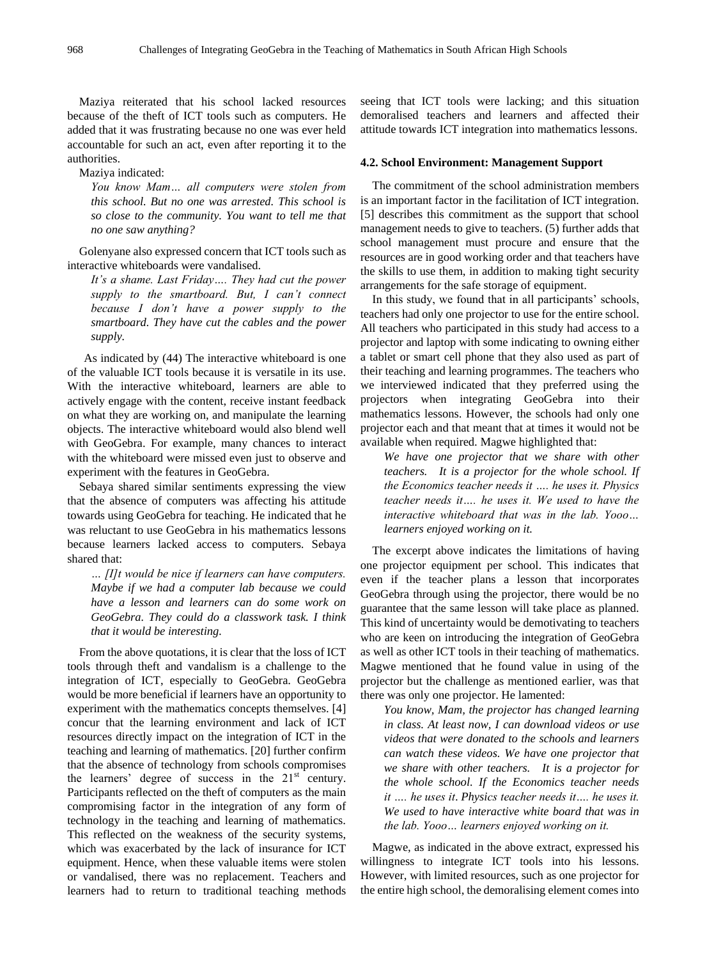Maziya reiterated that his school lacked resources because of the theft of ICT tools such as computers. He added that it was frustrating because no one was ever held accountable for such an act, even after reporting it to the authorities.

Maziya indicated:

*You know Mam… all computers were stolen from this school. But no one was arrested. This school is so close to the community. You want to tell me that no one saw anything?*

Golenyane also expressed concern that ICT tools such as interactive whiteboards were vandalised.

*It's a shame. Last Friday…. They had cut the power supply to the smartboard. But, I can't connect because I don't have a power supply to the smartboard. They have cut the cables and the power supply.*

As indicated by (44) The interactive whiteboard is one of the valuable ICT tools because it is versatile in its use. With the interactive whiteboard, learners are able to actively engage with the content, receive instant feedback on what they are working on, and manipulate the learning objects. The interactive whiteboard would also blend well with GeoGebra. For example, many chances to interact with the whiteboard were missed even just to observe and experiment with the features in GeoGebra.

Sebaya shared similar sentiments expressing the view that the absence of computers was affecting his attitude towards using GeoGebra for teaching. He indicated that he was reluctant to use GeoGebra in his mathematics lessons because learners lacked access to computers. Sebaya shared that:

*… [I]t would be nice if learners can have computers. Maybe if we had a computer lab because we could have a lesson and learners can do some work on GeoGebra. They could do a classwork task. I think that it would be interesting.*

From the above quotations, it is clear that the loss of ICT tools through theft and vandalism is a challenge to the integration of ICT, especially to GeoGebra. GeoGebra would be more beneficial if learners have an opportunity to experiment with the mathematics concepts themselves. [4] concur that the learning environment and lack of ICT resources directly impact on the integration of ICT in the teaching and learning of mathematics. [20] further confirm that the absence of technology from schools compromises the learners' degree of success in the  $21<sup>st</sup>$  century. Participants reflected on the theft of computers as the main compromising factor in the integration of any form of technology in the teaching and learning of mathematics. This reflected on the weakness of the security systems, which was exacerbated by the lack of insurance for ICT equipment. Hence, when these valuable items were stolen or vandalised, there was no replacement. Teachers and learners had to return to traditional teaching methods

seeing that ICT tools were lacking; and this situation demoralised teachers and learners and affected their attitude towards ICT integration into mathematics lessons.

#### **4.2. School Environment: Management Support**

The commitment of the school administration members is an important factor in the facilitation of ICT integration. [5] describes this commitment as the support that school management needs to give to teachers. (5) further adds that school management must procure and ensure that the resources are in good working order and that teachers have the skills to use them, in addition to making tight security arrangements for the safe storage of equipment.

In this study, we found that in all participants' schools, teachers had only one projector to use for the entire school. All teachers who participated in this study had access to a projector and laptop with some indicating to owning either a tablet or smart cell phone that they also used as part of their teaching and learning programmes. The teachers who we interviewed indicated that they preferred using the projectors when integrating GeoGebra into their mathematics lessons. However, the schools had only one projector each and that meant that at times it would not be available when required. Magwe highlighted that:

*We have one projector that we share with other teachers. It is a projector for the whole school. If the Economics teacher needs it …. he uses it. Physics teacher needs it…. he uses it. We used to have the interactive whiteboard that was in the lab. Yooo… learners enjoyed working on it.* 

The excerpt above indicates the limitations of having one projector equipment per school. This indicates that even if the teacher plans a lesson that incorporates GeoGebra through using the projector, there would be no guarantee that the same lesson will take place as planned. This kind of uncertainty would be demotivating to teachers who are keen on introducing the integration of GeoGebra as well as other ICT tools in their teaching of mathematics. Magwe mentioned that he found value in using of the projector but the challenge as mentioned earlier, was that there was only one projector. He lamented:

*You know, Mam, the projector has changed learning in class. At least now, I can download videos or use videos that were donated to the schools and learners can watch these videos. We have one projector that we share with other teachers. It is a projector for the whole school. If the Economics teacher needs it …. he uses it*. *Physics teacher needs it…. he uses it. We used to have interactive white board that was in the lab. Yooo… learners enjoyed working on it.*

Magwe, as indicated in the above extract, expressed his willingness to integrate ICT tools into his lessons. However, with limited resources, such as one projector for the entire high school, the demoralising element comes into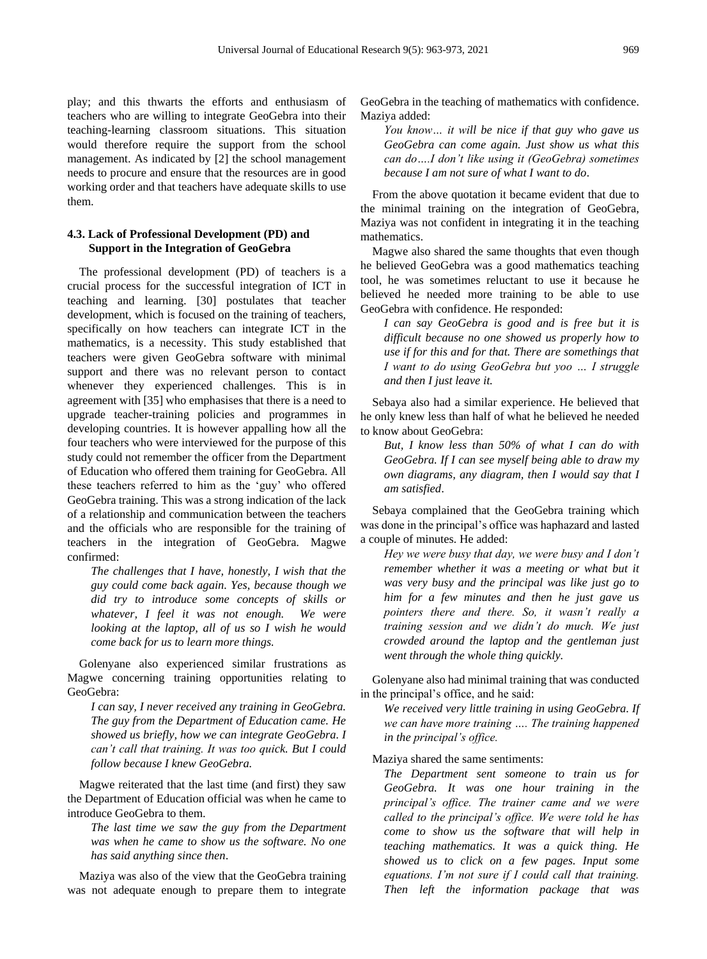play; and this thwarts the efforts and enthusiasm of teachers who are willing to integrate GeoGebra into their teaching-learning classroom situations. This situation would therefore require the support from the school management. As indicated by [2] the school management needs to procure and ensure that the resources are in good working order and that teachers have adequate skills to use them.

# **4.3. Lack of Professional Development (PD) and Support in the Integration of GeoGebra**

The professional development (PD) of teachers is a crucial process for the successful integration of ICT in teaching and learning. [30] postulates that teacher development, which is focused on the training of teachers, specifically on how teachers can integrate ICT in the mathematics, is a necessity. This study established that teachers were given GeoGebra software with minimal support and there was no relevant person to contact whenever they experienced challenges. This is in agreement with [35] who emphasises that there is a need to upgrade teacher-training policies and programmes in developing countries. It is however appalling how all the four teachers who were interviewed for the purpose of this study could not remember the officer from the Department of Education who offered them training for GeoGebra. All these teachers referred to him as the "guy" who offered GeoGebra training. This was a strong indication of the lack of a relationship and communication between the teachers and the officials who are responsible for the training of teachers in the integration of GeoGebra. Magwe confirmed:

*The challenges that I have, honestly, I wish that the guy could come back again. Yes, because though we did try to introduce some concepts of skills or whatever, I feel it was not enough. We were looking at the laptop, all of us so I wish he would come back for us to learn more things.*

Golenyane also experienced similar frustrations as Magwe concerning training opportunities relating to GeoGebra:

*I can say, I never received any training in GeoGebra. The guy from the Department of Education came. He showed us briefly, how we can integrate GeoGebra. I can't call that training. It was too quick. But I could follow because I knew GeoGebra.*

Magwe reiterated that the last time (and first) they saw the Department of Education official was when he came to introduce GeoGebra to them.

*The last time we saw the guy from the Department was when he came to show us the software. No one has said anything since then*.

Maziya was also of the view that the GeoGebra training was not adequate enough to prepare them to integrate GeoGebra in the teaching of mathematics with confidence. Maziya added:

*You know… it will be nice if that guy who gave us GeoGebra can come again. Just show us what this can do….I don't like using it (GeoGebra) sometimes because I am not sure of what I want to do*.

From the above quotation it became evident that due to the minimal training on the integration of GeoGebra, Maziya was not confident in integrating it in the teaching mathematics.

Magwe also shared the same thoughts that even though he believed GeoGebra was a good mathematics teaching tool, he was sometimes reluctant to use it because he believed he needed more training to be able to use GeoGebra with confidence. He responded:

*I can say GeoGebra is good and is free but it is difficult because no one showed us properly how to use if for this and for that. There are somethings that I want to do using GeoGebra but yoo … I struggle and then I just leave it.* 

Sebaya also had a similar experience. He believed that he only knew less than half of what he believed he needed to know about GeoGebra:

*But, I know less than 50% of what I can do with GeoGebra. If I can see myself being able to draw my own diagrams, any diagram, then I would say that I am satisfied*.

Sebaya complained that the GeoGebra training which was done in the principal"s office was haphazard and lasted a couple of minutes. He added:

*Hey we were busy that day, we were busy and I don't remember whether it was a meeting or what but it was very busy and the principal was like just go to him for a few minutes and then he just gave us pointers there and there. So, it wasn't really a training session and we didn't do much. We just crowded around the laptop and the gentleman just went through the whole thing quickly.* 

Golenyane also had minimal training that was conducted in the principal"s office, and he said:

*We received very little training in using GeoGebra. If we can have more training …. The training happened in the principal's office.*

# Maziya shared the same sentiments:

*The Department sent someone to train us for GeoGebra. It was one hour training in the principal's office. The trainer came and we were called to the principal's office. We were told he has come to show us the software that will help in teaching mathematics. It was a quick thing. He showed us to click on a few pages. Input some equations. I'm not sure if I could call that training. Then left the information package that was*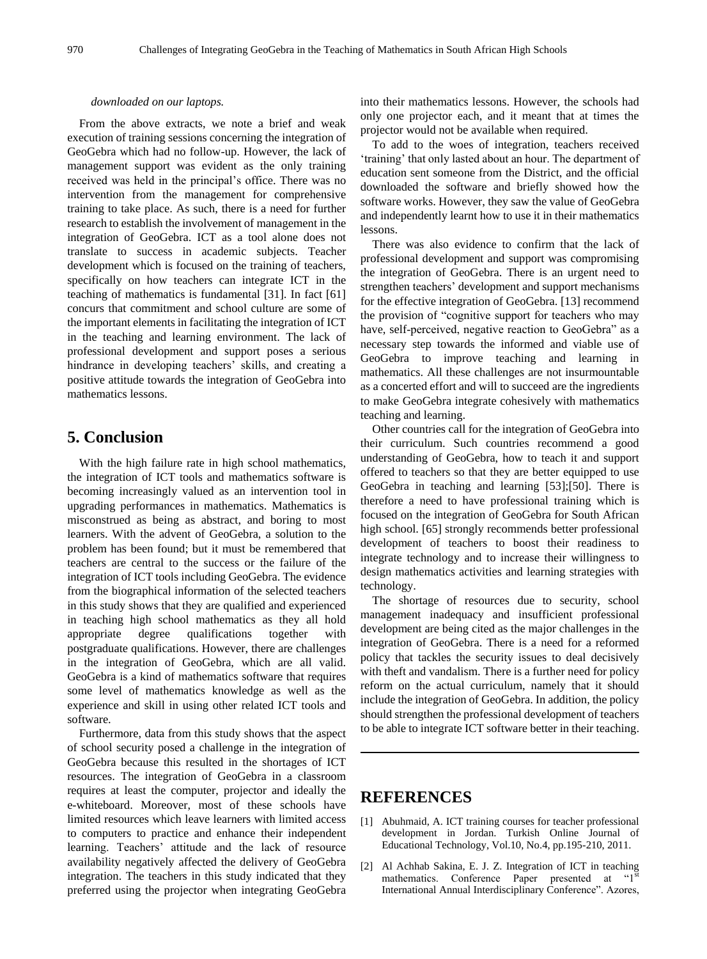## *downloaded on our laptops.*

From the above extracts, we note a brief and weak execution of training sessions concerning the integration of GeoGebra which had no follow-up. However, the lack of management support was evident as the only training received was held in the principal"s office. There was no intervention from the management for comprehensive training to take place. As such, there is a need for further research to establish the involvement of management in the integration of GeoGebra. ICT as a tool alone does not translate to success in academic subjects. Teacher development which is focused on the training of teachers, specifically on how teachers can integrate ICT in the teaching of mathematics is fundamental [31]. In fact [61] concurs that commitment and school culture are some of the important elements in facilitating the integration of ICT in the teaching and learning environment. The lack of professional development and support poses a serious hindrance in developing teachers' skills, and creating a positive attitude towards the integration of GeoGebra into mathematics lessons.

# **5. Conclusion**

With the high failure rate in high school mathematics, the integration of ICT tools and mathematics software is becoming increasingly valued as an intervention tool in upgrading performances in mathematics. Mathematics is misconstrued as being as abstract, and boring to most learners. With the advent of GeoGebra, a solution to the problem has been found; but it must be remembered that teachers are central to the success or the failure of the integration of ICT tools including GeoGebra. The evidence from the biographical information of the selected teachers in this study shows that they are qualified and experienced in teaching high school mathematics as they all hold appropriate degree qualifications together with postgraduate qualifications. However, there are challenges in the integration of GeoGebra, which are all valid. GeoGebra is a kind of mathematics software that requires some level of mathematics knowledge as well as the experience and skill in using other related ICT tools and software.

Furthermore, data from this study shows that the aspect of school security posed a challenge in the integration of GeoGebra because this resulted in the shortages of ICT resources. The integration of GeoGebra in a classroom requires at least the computer, projector and ideally the e-whiteboard. Moreover, most of these schools have limited resources which leave learners with limited access to computers to practice and enhance their independent learning. Teachers' attitude and the lack of resource availability negatively affected the delivery of GeoGebra integration. The teachers in this study indicated that they preferred using the projector when integrating GeoGebra into their mathematics lessons. However, the schools had only one projector each, and it meant that at times the projector would not be available when required.

To add to the woes of integration, teachers received "training" that only lasted about an hour. The department of education sent someone from the District, and the official downloaded the software and briefly showed how the software works. However, they saw the value of GeoGebra and independently learnt how to use it in their mathematics lessons.

There was also evidence to confirm that the lack of professional development and support was compromising the integration of GeoGebra. There is an urgent need to strengthen teachers" development and support mechanisms for the effective integration of GeoGebra. [13] recommend the provision of "cognitive support for teachers who may have, self-perceived, negative reaction to GeoGebra" as a necessary step towards the informed and viable use of GeoGebra to improve teaching and learning in mathematics. All these challenges are not insurmountable as a concerted effort and will to succeed are the ingredients to make GeoGebra integrate cohesively with mathematics teaching and learning.

Other countries call for the integration of GeoGebra into their curriculum. Such countries recommend a good understanding of GeoGebra, how to teach it and support offered to teachers so that they are better equipped to use GeoGebra in teaching and learning [53];[50]. There is therefore a need to have professional training which is focused on the integration of GeoGebra for South African high school. [65] strongly recommends better professional development of teachers to boost their readiness to integrate technology and to increase their willingness to design mathematics activities and learning strategies with technology.

The shortage of resources due to security, school management inadequacy and insufficient professional development are being cited as the major challenges in the integration of GeoGebra. There is a need for a reformed policy that tackles the security issues to deal decisively with theft and vandalism. There is a further need for policy reform on the actual curriculum, namely that it should include the integration of GeoGebra. In addition, the policy should strengthen the professional development of teachers to be able to integrate ICT software better in their teaching.

# **REFERENCES**

- [1] Abuhmaid, A. ICT training courses for teacher professional development in Jordan. Turkish Online Journal of Educational Technology, Vol.10, No.4, pp.195-210, 2011.
- [2] Al Achhab Sakina, E. J. Z. Integration of ICT in teaching mathematics. Conference Paper presented at "1<sup>st</sup> International Annual Interdisciplinary Conference". Azores,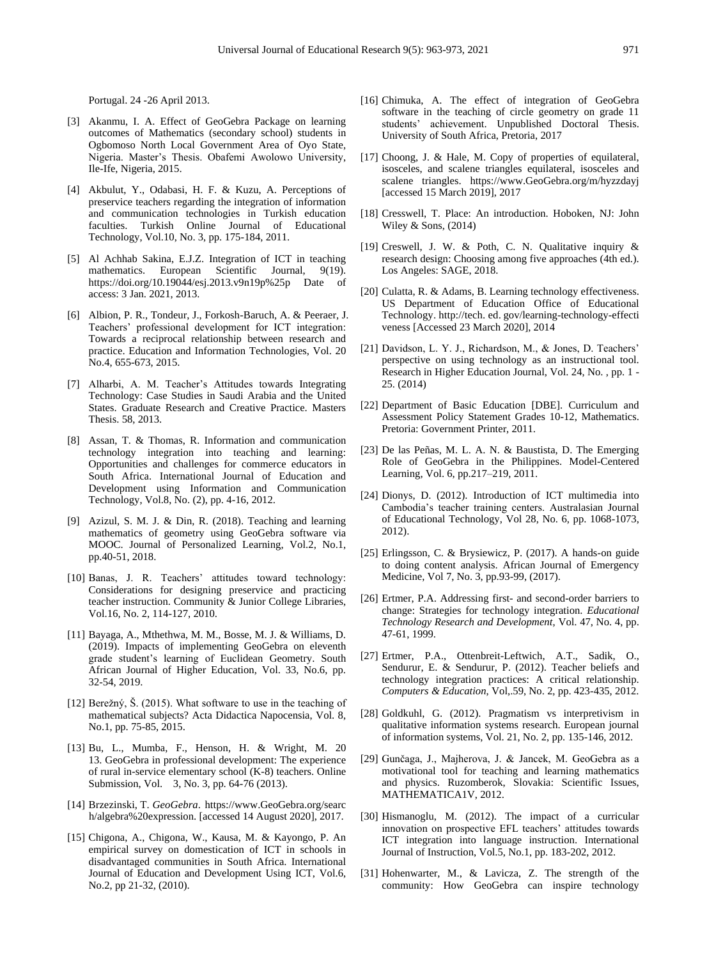Portugal. 24 -26 April 2013.

- [3] Akanmu, I. A. Effect of GeoGebra Package on learning outcomes of Mathematics (secondary school) students in Ogbomoso North Local Government Area of Oyo State, Nigeria. Master"s Thesis. Obafemi Awolowo University, Ile-Ife, Nigeria, 2015.
- [4] Akbulut, Y., Odabasi, H. F. & Kuzu, A. Perceptions of preservice teachers regarding the integration of information and communication technologies in Turkish education faculties. Turkish Online Journal of Educational Technology, Vol.10, No. 3, pp. 175-184, 2011.
- [5] Al Achhab Sakina, E.J.Z. Integration of ICT in teaching mathematics. European Scientific Journal, 9(19). [https://doi.org/10.19044/esj.2013.v9n19p%25p D](https://doi.org/10.19044/esj.2013.v9n19p%25p)ate of access: 3 Jan. 2021, 2013.
- [6] Albion, P. R., Tondeur, J., Forkosh-Baruch, A. & Peeraer, J. Teachers" professional development for ICT integration: Towards a reciprocal relationship between research and practice. Education and Information Technologies, Vol. 20 No.4, 655-673, 2015.
- [7] Alharbi, A. M. Teacher"s Attitudes towards Integrating Technology: Case Studies in Saudi Arabia and the United States. Graduate Research and Creative Practice. Masters Thesis. 58, 2013.
- [8] Assan, T. & Thomas, R. Information and communication technology integration into teaching and learning: Opportunities and challenges for commerce educators in South Africa. International Journal of Education and Development using Information and Communication Technology, Vol.8, No. (2), pp. 4-16, 2012.
- [9] Azizul, S. M. J. & Din, R. (2018). Teaching and learning mathematics of geometry using GeoGebra software via MOOC. Journal of Personalized Learning, Vol.2, No.1, pp.40-51, 2018.
- [10] Banas, J. R. Teachers' attitudes toward technology: Considerations for designing preservice and practicing teacher instruction. Community & Junior College Libraries, Vol.16, No. 2, 114-127, 2010.
- [11] Bayaga, A., Mthethwa, M. M., Bosse, M. J. & Williams, D. (2019). Impacts of implementing GeoGebra on eleventh grade student"s learning of Euclidean Geometry. South African Journal of Higher Education, Vol. 33, No.6, pp. 32-54, 2019.
- [12] Berežný, Š. (2015). What software to use in the teaching of mathematical subjects? Acta Didactica Napocensia, Vol. 8, No.1, pp. 75-85, 2015.
- [13] Bu, L., Mumba, F., Henson, H. & Wright, M. 20 13. GeoGebra in professional development: The experience of rural in-service elementary school (K-8) teachers. Online Submission, Vol. 3, No. 3, pp. 64-76 (2013).
- [14] Brzezinski, T. *GeoGebra*. https://www.GeoGebra.org/searc h/algebra%20expression. [accessed 14 August 2020], 2017.
- [15] Chigona, A., Chigona, W., Kausa, M. & Kayongo, P. An empirical survey on domestication of ICT in schools in disadvantaged communities in South Africa. International Journal of Education and Development Using ICT, Vol.6, No.2, pp 21-32, (2010).
- [16] Chimuka, A. The effect of integration of GeoGebra software in the teaching of circle geometry on grade 11 students" achievement. Unpublished Doctoral Thesis. University of South Africa, Pretoria, 2017
- [17] Choong, J. & Hale, M. Copy of properties of equilateral, isosceles, and scalene triangles equilateral, isosceles and scalene triangles. https://www.GeoGebra.org/m/hyzzdayj [accessed 15 March 2019], 2017
- [18] Cresswell, T. Place: An introduction. Hoboken, NJ: John Wiley & Sons, (2014)
- [19] Creswell, J. W. & Poth, C. N. Qualitative inquiry & research design: Choosing among five approaches (4th ed.). Los Angeles: SAGE, 2018.
- [20] Culatta, R. & Adams, B. Learning technology effectiveness. US Department of Education Office of Educational Technology. http://tech. ed. gov/learning-technology-effecti veness [Accessed 23 March 2020], 2014
- [21] Davidson, L. Y. J., Richardson, M., & Jones, D. Teachers' perspective on using technology as an instructional tool. Research in Higher Education Journal, Vol. 24, No. , pp. 1 - 25. (2014)
- [22] Department of Basic Education [DBE]. Curriculum and Assessment Policy Statement Grades 10-12, Mathematics. Pretoria: Government Printer, 2011.
- [23] De las Peñas, M. L. A. N. & Baustista, D. The Emerging Role of GeoGebra in the Philippines. Model-Centered Learning, Vol. 6, pp.217–219, 2011.
- [24] Dionys, D. (2012). Introduction of ICT multimedia into Cambodia"s teacher training centers. Australasian Journal of Educational Technology, Vol 28, No. 6, pp. 1068-1073, 2012).
- [25] Erlingsson, C. & Brysiewicz, P. (2017). A hands-on guide to doing content analysis. African Journal of Emergency Medicine, Vol 7, No. 3, pp.93-99, (2017).
- [26] Ertmer, P.A. Addressing first- and second-order barriers to change: Strategies for technology integration. *Educational Technology Research and Development*, Vol. 47, No. 4, pp. 47-61, 1999.
- [27] Ertmer, P.A., Ottenbreit-Leftwich, A.T., Sadik, O., Sendurur, E. & Sendurur, P. (2012). Teacher beliefs and technology integration practices: A critical relationship. *Computers & Education*, Vol,.59, No. 2, pp. 423-435, 2012.
- [28] Goldkuhl, G. (2012). Pragmatism vs interpretivism in qualitative information systems research. European journal of information systems, Vol. 21, No. 2, pp. 135-146, 2012.
- [29] Gunčaga, J., Majherova, J. & Jancek, M. GeoGebra as a motivational tool for teaching and learning mathematics and physics. Ruzomberok, Slovakia: Scientific Issues, MATHEMATICA1V, 2012.
- [30] Hismanoglu, M. (2012). The impact of a curricular innovation on prospective EFL teachers' attitudes towards ICT integration into language instruction. International Journal of Instruction, Vol.5, No.1, pp. 183-202, 2012.
- [31] Hohenwarter, M., & Lavicza, Z. The strength of the community: How GeoGebra can inspire technology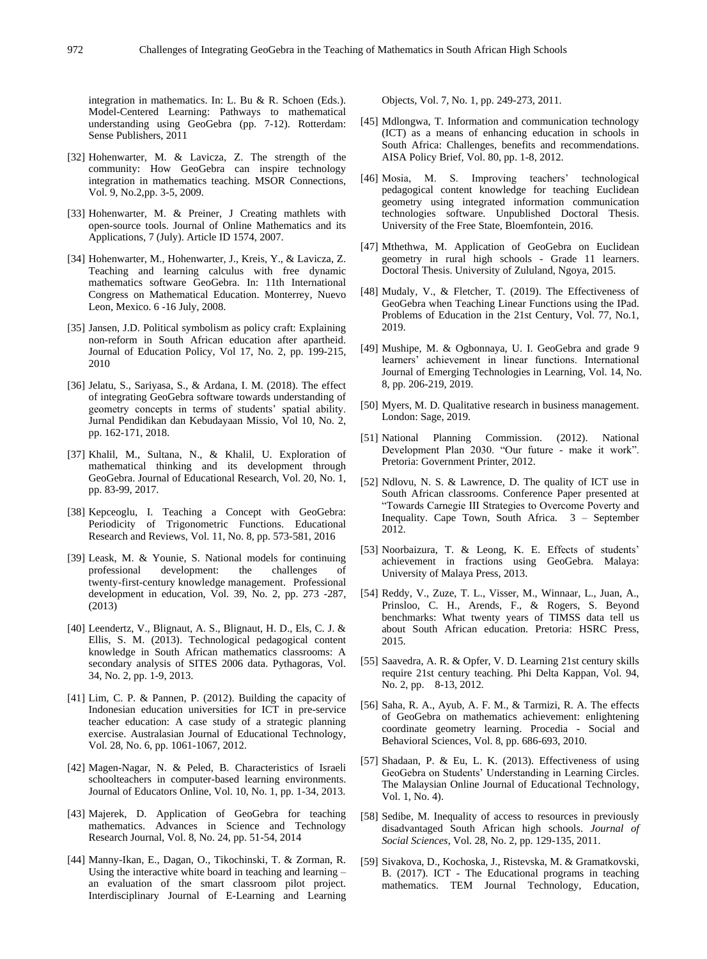integration in mathematics. In: L. Bu & R. Schoen (Eds.). Model-Centered Learning: Pathways to mathematical understanding using GeoGebra (pp. 7-12). Rotterdam: Sense Publishers, 2011

- [32] Hohenwarter, M. & Lavicza, Z. The strength of the community: How GeoGebra can inspire technology integration in mathematics teaching. MSOR Connections, Vol. 9, No.2,pp. 3-5, 2009.
- [33] Hohenwarter, M. & Preiner, J Creating mathlets with open-source tools. Journal of Online Mathematics and its Applications, 7 (July). Article ID 1574, 2007.
- [34] Hohenwarter, M., Hohenwarter, J., Kreis, Y., & Lavicza, Z. Teaching and learning calculus with free dynamic mathematics software GeoGebra. In: 11th International Congress on Mathematical Education. Monterrey, Nuevo Leon, Mexico. 6 -16 July, 2008.
- [35] Jansen, J.D. Political symbolism as policy craft: Explaining non-reform in South African education after apartheid. Journal of Education Policy, Vol 17, No. 2, pp. 199-215, 2010
- [36] Jelatu, S., Sariyasa, S., & Ardana, I. M. (2018). The effect of integrating GeoGebra software towards understanding of geometry concepts in terms of students" spatial ability. Jurnal Pendidikan dan Kebudayaan Missio, Vol 10, No. 2, pp. 162-171, 2018.
- [37] Khalil, M., Sultana, N., & Khalil, U. Exploration of mathematical thinking and its development through GeoGebra. Journal of Educational Research, Vol. 20, No. 1, pp. 83-99, 2017.
- [38] Kepceoglu, I. Teaching a Concept with GeoGebra: Periodicity of Trigonometric Functions. Educational Research and Reviews, Vol. 11, No. 8, pp. 573-581, 2016
- [39] Leask, M. & Younie, S. National models for continuing professional development: the challenges of twenty-first-century knowledge management. Professional development in education, Vol. 39, No. 2, pp. 273 -287, (2013)
- [40] Leendertz, V., Blignaut, A. S., Blignaut, H. D., Els, C. J. & Ellis, S. M. (2013). Technological pedagogical content knowledge in South African mathematics classrooms: A secondary analysis of SITES 2006 data. Pythagoras, Vol. 34, No. 2, pp. 1-9, 2013.
- [41] Lim, C. P. & Pannen, P. (2012). Building the capacity of Indonesian education universities for ICT in pre-service teacher education: A case study of a strategic planning exercise. Australasian Journal of Educational Technology, Vol. 28, No. 6, pp. 1061-1067, 2012.
- [42] Magen-Nagar, N. & Peled, B. Characteristics of Israeli schoolteachers in computer-based learning environments. Journal of Educators Online, Vol. 10, No. 1, pp. 1-34, 2013.
- [43] Majerek, D. Application of GeoGebra for teaching mathematics. Advances in Science and Technology Research Journal, Vol. 8, No. 24, pp. 51-54, 2014
- [44] Manny-Ikan, E., Dagan, O., Tikochinski, T. & Zorman, R. Using the interactive white board in teaching and learning – an evaluation of the smart classroom pilot project. Interdisciplinary Journal of E-Learning and Learning

Objects, Vol. 7, No. 1, pp. 249-273, 2011.

- [45] Mdlongwa, T. Information and communication technology (ICT) as a means of enhancing education in schools in South Africa: Challenges, benefits and recommendations. AISA Policy Brief, Vol. 80, pp. 1-8, 2012.
- [46] Mosia, M. S. Improving teachers' technological pedagogical content knowledge for teaching Euclidean geometry using integrated information communication technologies software. Unpublished Doctoral Thesis. University of the Free State, Bloemfontein, 2016.
- [47] Mthethwa, M. Application of GeoGebra on Euclidean geometry in rural high schools - Grade 11 learners. Doctoral Thesis. University of Zululand, Ngoya, 2015.
- [48] Mudaly, V., & Fletcher, T. (2019). The Effectiveness of GeoGebra when Teaching Linear Functions using the IPad. Problems of Education in the 21st Century, Vol. 77, No.1, 2019.
- [49] Mushipe, M. & Ogbonnaya, U. I. GeoGebra and grade 9 learners" achievement in linear functions. International Journal of Emerging Technologies in Learning, Vol. 14, No. 8, pp. 206-219, 2019.
- [50] Myers, M. D. Qualitative research in business management. London: Sage, 2019.
- [51] National Planning Commission. (2012). National Development Plan 2030. "Our future - make it work". Pretoria: Government Printer, 2012.
- [52] Ndlovu, N. S. & Lawrence, D. The quality of ICT use in South African classrooms. Conference Paper presented at "Towards Carnegie III Strategies to Overcome Poverty and Inequality. Cape Town, South Africa. 3 – September 2012.
- [53] Noorbaizura, T. & Leong, K. E. Effects of students' achievement in fractions using GeoGebra. Malaya: University of Malaya Press, 2013.
- [54] Reddy, V., Zuze, T. L., Visser, M., Winnaar, L., Juan, A., Prinsloo, C. H., Arends, F., & Rogers, S. Beyond benchmarks: What twenty years of TIMSS data tell us about South African education. Pretoria: HSRC Press, 2015.
- [55] Saavedra, A. R. & Opfer, V. D. Learning 21st century skills require 21st century teaching. Phi Delta Kappan, Vol. 94, No. 2, pp. 8-13, 2012.
- [56] Saha, R. A., Ayub, A. F. M., & Tarmizi, R. A. The effects of GeoGebra on mathematics achievement: enlightening coordinate geometry learning. Procedia - Social and Behavioral Sciences, Vol. 8, pp. 686-693, 2010.
- [57] Shadaan, P. & Eu, L. K. (2013). Effectiveness of using GeoGebra on Students" Understanding in Learning Circles. The Malaysian Online Journal of Educational Technology, Vol. 1, No. 4).
- [58] Sedibe, M. Inequality of access to resources in previously disadvantaged South African high schools. *Journal of Social Sciences*, Vol. 28, No. 2, pp. 129-135, 2011.
- [59] Sivakova, D., Kochoska, J., Ristevska, M. & Gramatkovski, B. (2017). ICT - The Educational programs in teaching mathematics. TEM Journal Technology, Education,